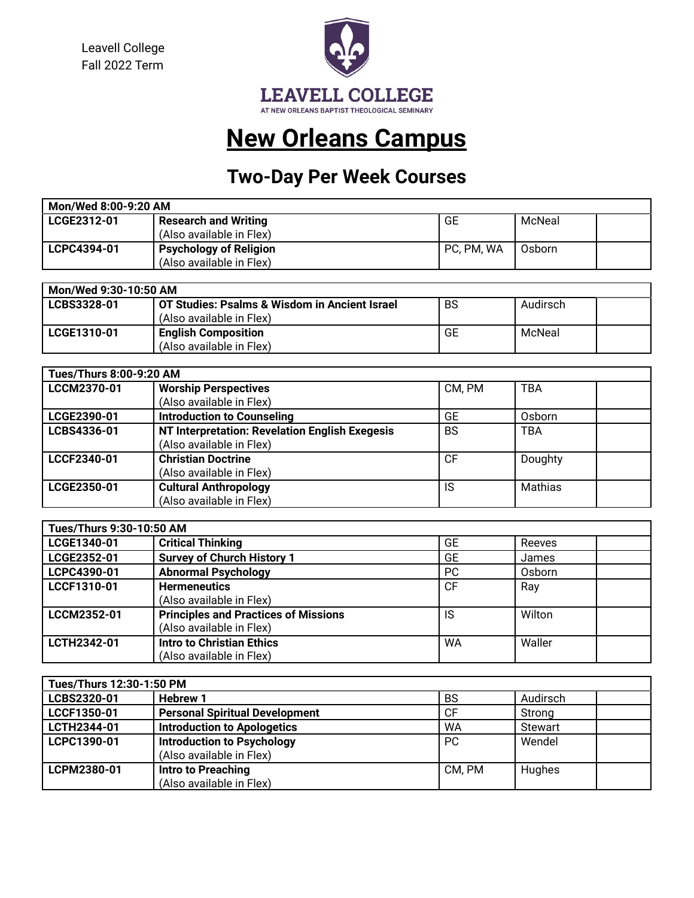Leavell College Fall 2022 Term



# **New Orleans Campus**

## **Two-Day Per Week Courses**

| Mon/Wed 8:00-9:20 AM |                               |            |        |  |  |
|----------------------|-------------------------------|------------|--------|--|--|
| LCGE2312-01          | <b>Research and Writing</b>   | GE         | McNeal |  |  |
|                      | (Also available in Flex)      |            |        |  |  |
| LCPC4394-01          | <b>Psychology of Religion</b> | PC, PM, WA | Osborn |  |  |
|                      | (Also available in Flex)      |            |        |  |  |

| Mon/Wed 9:30-10:50 AM |                                               |    |          |  |
|-----------------------|-----------------------------------------------|----|----------|--|
| LCBS3328-01           | OT Studies: Psalms & Wisdom in Ancient Israel | BS | Audirsch |  |
|                       | (Also available in Flex)                      |    |          |  |
| LCGE1310-01           | <b>English Composition</b>                    | GE | McNeal   |  |
|                       | (Also available in Flex)                      |    |          |  |

| <b>Tues/Thurs 8:00-9:20 AM</b> |                                                |           |                |  |
|--------------------------------|------------------------------------------------|-----------|----------------|--|
| LCCM2370-01                    | <b>Worship Perspectives</b>                    | CM, PM    | <b>TBA</b>     |  |
|                                | (Also available in Flex)                       |           |                |  |
| LCGE2390-01                    | <b>Introduction to Counseling</b>              | GE        | Osborn         |  |
| LCBS4336-01                    | NT Interpretation: Revelation English Exegesis | <b>BS</b> | <b>TBA</b>     |  |
|                                | (Also available in Flex)                       |           |                |  |
| LCCF2340-01                    | <b>Christian Doctrine</b>                      | <b>CF</b> | Doughty        |  |
|                                | (Also available in Flex)                       |           |                |  |
| LCGE2350-01                    | <b>Cultural Anthropology</b>                   | IS        | <b>Mathias</b> |  |
|                                | (Also available in Flex)                       |           |                |  |

| Tues/Thurs 9:30-10:50 AM |                                             |           |        |  |
|--------------------------|---------------------------------------------|-----------|--------|--|
| LCGE1340-01              | <b>Critical Thinking</b>                    | <b>GE</b> | Reeves |  |
| LCGE2352-01              | <b>Survey of Church History 1</b>           | <b>GE</b> | James  |  |
| LCPC4390-01              | <b>Abnormal Psychology</b>                  | <b>PC</b> | Osborn |  |
| LCCF1310-01              | <b>Hermeneutics</b>                         | <b>CF</b> | Ray    |  |
|                          | (Also available in Flex)                    |           |        |  |
| LCCM2352-01              | <b>Principles and Practices of Missions</b> | IS        | Wilton |  |
|                          | (Also available in Flex)                    |           |        |  |
| LCTH2342-01              | <b>Intro to Christian Ethics</b>            | <b>WA</b> | Waller |  |
|                          | (Also available in Flex)                    |           |        |  |

| Tues/Thurs 12:30-1:50 PM |                                       |           |                |  |
|--------------------------|---------------------------------------|-----------|----------------|--|
| LCBS2320-01              | <b>Hebrew 1</b>                       | <b>BS</b> | Audirsch       |  |
| LCCF1350-01              | <b>Personal Spiritual Development</b> | <b>CF</b> | Strong         |  |
| LCTH2344-01              | <b>Introduction to Apologetics</b>    | WA        | <b>Stewart</b> |  |
| LCPC1390-01              | <b>Introduction to Psychology</b>     | PC.       | Wendel         |  |
|                          | (Also available in Flex)              |           |                |  |
| LCPM2380-01              | Intro to Preaching                    | CM, PM    | Hughes         |  |
|                          | (Also available in Flex)              |           |                |  |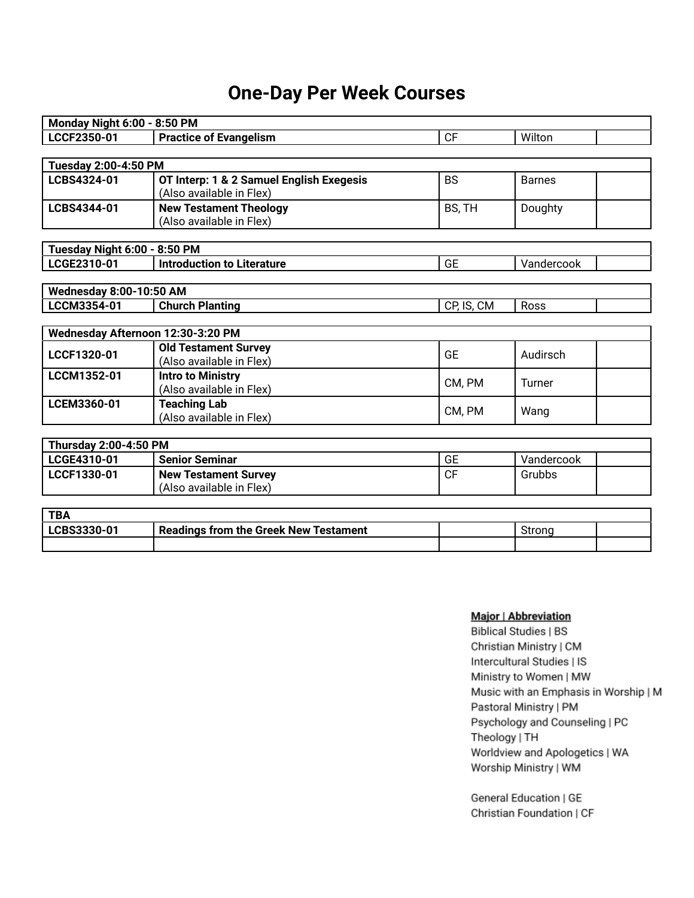#### **One-Day Per Week Courses**

| <b>Monday Night 6:00 - 8:50 PM</b> |                                          |            |               |
|------------------------------------|------------------------------------------|------------|---------------|
| LCCF2350-01                        | <b>Practice of Evangelism</b>            | <b>CF</b>  | Wilton        |
|                                    |                                          |            |               |
| <b>Tuesday 2:00-4:50 PM</b>        |                                          |            |               |
| LCBS4324-01                        | OT Interp: 1 & 2 Samuel English Exegesis | <b>BS</b>  | <b>Barnes</b> |
|                                    | (Also available in Flex)                 |            |               |
| LCBS4344-01                        | <b>New Testament Theology</b>            | BS, TH     | Doughty       |
|                                    | (Also available in Flex)                 |            |               |
|                                    |                                          |            |               |
| Tuesday Night 6:00 - 8:50 PM       |                                          |            |               |
| LCGE2310-01                        | <b>Introduction to Literature</b>        | <b>GE</b>  | Vandercook    |
| <b>Wednesday 8:00-10:50 AM</b>     |                                          |            |               |
| LCCM3354-01                        | <b>Church Planting</b>                   |            | Ross          |
|                                    |                                          | CP, IS, CM |               |
| Wednesday Afternoon 12:30-3:20 PM  |                                          |            |               |
|                                    | <b>Old Testament Survey</b>              |            |               |
| LCCF1320-01                        | (Also available in Flex)                 | <b>GE</b>  | Audirsch      |
| LCCM1352-01                        | <b>Intro to Ministry</b>                 |            |               |
|                                    | (Also available in Flex)                 | CM, PM     | Turner        |
| LCEM3360-01                        | <b>Teaching Lab</b>                      |            |               |
|                                    | (Also available in Flex)                 | CM, PM     | Wang          |
|                                    |                                          |            |               |
| <b>Thursday 2:00-4:50 PM</b>       |                                          |            |               |
| LCGE4310-01                        | <b>Senior Seminar</b>                    | <b>GE</b>  | Vandercook    |
| LCCF1330-01                        | <b>New Testament Survey</b>              | <b>CF</b>  | Grubbs        |
|                                    | (Also available in Flex)                 |            |               |
| <b>TDA</b>                         |                                          |            |               |

| TD/<br>DI   |                                              |  |  |
|-------------|----------------------------------------------|--|--|
| LCBS3330-01 | <b>Readings from the Greek New Testament</b> |  |  |
|             |                                              |  |  |

#### Major | Abbreviation

**Biblical Studies | BS** Christian Ministry | CM Intercultural Studies | IS Ministry to Women | MW Music with an Emphasis in Worship | M Pastoral Ministry | PM Psychology and Counseling | PC Theology | TH Worldview and Apologetics | WA Worship Ministry | WM

General Education | GE Christian Foundation | CF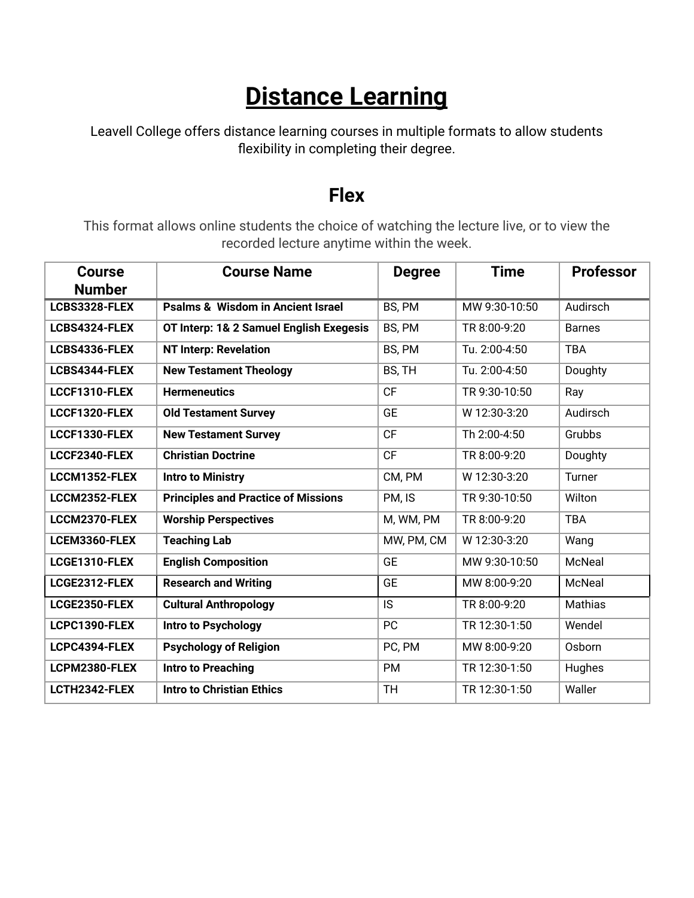# **Distance Learning**

Leavell College offers distance learning courses in multiple formats to allow students flexibility in completing their degree.

#### **Flex**

This format allows online students the choice of watching the lecture live, or to view the recorded lecture anytime within the week.

| <b>Course</b> | <b>Course Name</b>                           | <b>Degree</b> | <b>Time</b>   | <b>Professor</b> |
|---------------|----------------------------------------------|---------------|---------------|------------------|
| <b>Number</b> |                                              |               |               |                  |
| LCBS3328-FLEX | <b>Psalms &amp; Wisdom in Ancient Israel</b> | BS, PM        | MW 9:30-10:50 | Audirsch         |
| LCBS4324-FLEX | OT Interp: 1& 2 Samuel English Exegesis      | BS, PM        | TR 8:00-9:20  | <b>Barnes</b>    |
| LCBS4336-FLEX | <b>NT Interp: Revelation</b>                 | BS, PM        | Tu. 2:00-4:50 | <b>TBA</b>       |
| LCBS4344-FLEX | <b>New Testament Theology</b>                | BS, TH        | Tu. 2:00-4:50 | Doughty          |
| LCCF1310-FLEX | <b>Hermeneutics</b>                          | <b>CF</b>     | TR 9:30-10:50 | Ray              |
| LCCF1320-FLEX | <b>Old Testament Survey</b>                  | <b>GE</b>     | W 12:30-3:20  | Audirsch         |
| LCCF1330-FLEX | <b>New Testament Survey</b>                  | <b>CF</b>     | Th 2:00-4:50  | Grubbs           |
| LCCF2340-FLEX | <b>Christian Doctrine</b>                    | <b>CF</b>     | TR 8:00-9:20  | Doughty          |
| LCCM1352-FLEX | <b>Intro to Ministry</b>                     | CM, PM        | W 12:30-3:20  | Turner           |
| LCCM2352-FLEX | <b>Principles and Practice of Missions</b>   | PM, IS        | TR 9:30-10:50 | Wilton           |
| LCCM2370-FLEX | <b>Worship Perspectives</b>                  | M, WM, PM     | TR 8:00-9:20  | <b>TBA</b>       |
| LCEM3360-FLEX | <b>Teaching Lab</b>                          | MW, PM, CM    | W 12:30-3:20  | Wang             |
| LCGE1310-FLEX | <b>English Composition</b>                   | <b>GE</b>     | MW 9:30-10:50 | McNeal           |
| LCGE2312-FLEX | <b>Research and Writing</b>                  | <b>GE</b>     | MW 8:00-9:20  | McNeal           |
| LCGE2350-FLEX | <b>Cultural Anthropology</b>                 | IS            | TR 8:00-9:20  | Mathias          |
| LCPC1390-FLEX | Intro to Psychology                          | PC            | TR 12:30-1:50 | Wendel           |
| LCPC4394-FLEX | <b>Psychology of Religion</b>                | PC, PM        | MW 8:00-9:20  | Osborn           |
| LCPM2380-FLEX | <b>Intro to Preaching</b>                    | <b>PM</b>     | TR 12:30-1:50 | Hughes           |
| LCTH2342-FLEX | <b>Intro to Christian Ethics</b>             | <b>TH</b>     | TR 12:30-1:50 | Waller           |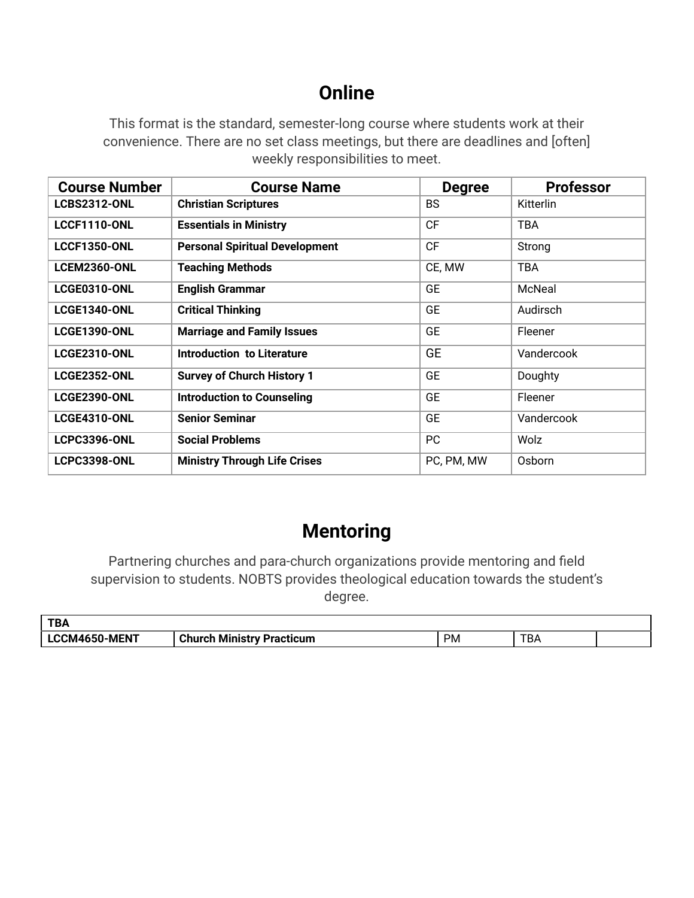### **Online**

This format is the standard, semester-long course where students work at their convenience. There are no set class meetings, but there are deadlines and [often] weekly responsibilities to meet.

| <b>Course Number</b> | <b>Course Name</b>                    | <b>Degree</b> | <b>Professor</b> |
|----------------------|---------------------------------------|---------------|------------------|
| <b>LCBS2312-ONL</b>  | <b>Christian Scriptures</b>           | <b>BS</b>     | Kitterlin        |
| <b>LCCF1110-ONL</b>  | <b>Essentials in Ministry</b>         | <b>CF</b>     | <b>TBA</b>       |
| <b>LCCF1350-ONL</b>  | <b>Personal Spiritual Development</b> | <b>CF</b>     | Strong           |
| <b>LCEM2360-ONL</b>  | <b>Teaching Methods</b>               | CE, MW        | <b>TBA</b>       |
| LCGE0310-ONL         | <b>English Grammar</b>                | <b>GE</b>     | McNeal           |
| <b>LCGE1340-ONL</b>  | <b>Critical Thinking</b>              | <b>GE</b>     | Audirsch         |
| <b>LCGE1390-ONL</b>  | <b>Marriage and Family Issues</b>     | <b>GE</b>     | Fleener          |
| <b>LCGE2310-ONL</b>  | Introduction to Literature            | <b>GE</b>     | Vandercook       |
| <b>LCGE2352-ONL</b>  | <b>Survey of Church History 1</b>     | <b>GE</b>     | Doughty          |
| <b>LCGE2390-ONL</b>  | <b>Introduction to Counseling</b>     | <b>GE</b>     | Fleener          |
| <b>LCGE4310-ONL</b>  | <b>Senior Seminar</b>                 | <b>GE</b>     | Vandercook       |
| <b>LCPC3396-ONL</b>  | <b>Social Problems</b>                | PC            | Wolz             |
| <b>LCPC3398-ONL</b>  | <b>Ministry Through Life Crises</b>   | PC, PM, MW    | Osborn           |

#### **Mentoring**

Partnering churches and para-church organizations provide mentoring and field supervision to students. NOBTS provides theological education towards the student's degree.

| TD <sub>4</sub><br>I DA |                                       |     |          |  |
|-------------------------|---------------------------------------|-----|----------|--|
| LCCM4650-MENT           | <b>Church</b><br>Ministry Practicum ا | PM. | —n<br>DF |  |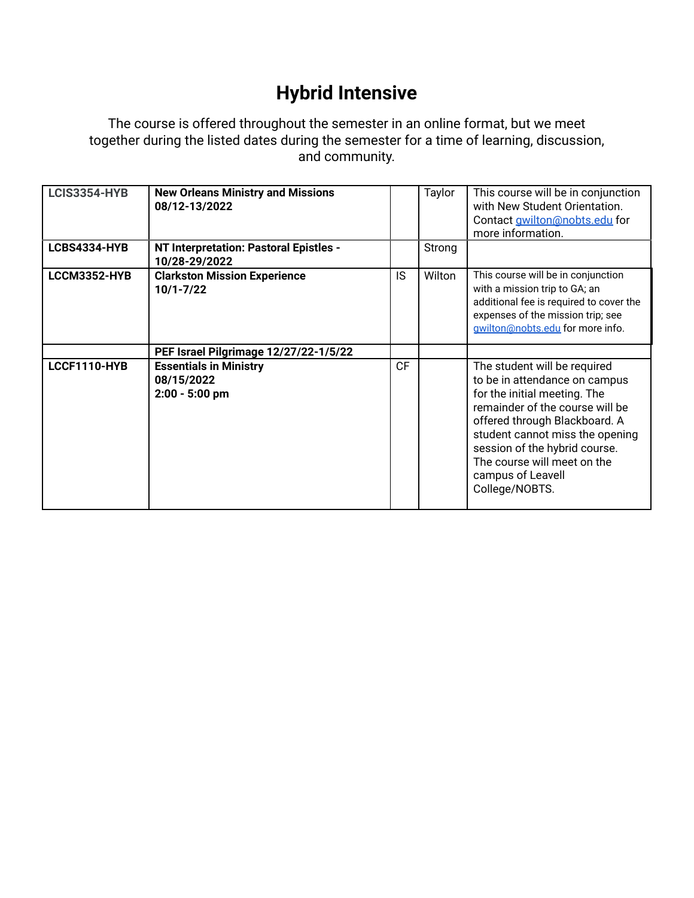## **Hybrid Intensive**

The course is offered throughout the semester in an online format, but we meet together during the listed dates during the semester for a time of learning, discussion, and community.

| <b>LCIS3354-HYB</b> | <b>New Orleans Ministry and Missions</b><br>08/12-13/2022       |           | Taylor | This course will be in conjunction<br>with New Student Orientation.<br>Contact <b>gwilton@nobts.edu</b> for<br>more information.                                                                                                                                                                            |
|---------------------|-----------------------------------------------------------------|-----------|--------|-------------------------------------------------------------------------------------------------------------------------------------------------------------------------------------------------------------------------------------------------------------------------------------------------------------|
| LCBS4334-HYB        | NT Interpretation: Pastoral Epistles -<br>10/28-29/2022         |           | Strong |                                                                                                                                                                                                                                                                                                             |
| LCCM3352-HYB        | <b>Clarkston Mission Experience</b><br>$10/1 - 7/22$            | IS        | Wilton | This course will be in conjunction<br>with a mission trip to GA; an<br>additional fee is required to cover the<br>expenses of the mission trip; see<br>gwilton@nobts.edu for more info.                                                                                                                     |
|                     | PEF Israel Pilgrimage 12/27/22-1/5/22                           |           |        |                                                                                                                                                                                                                                                                                                             |
| LCCF1110-HYB        | <b>Essentials in Ministry</b><br>08/15/2022<br>$2:00 - 5:00$ pm | <b>CF</b> |        | The student will be required<br>to be in attendance on campus<br>for the initial meeting. The<br>remainder of the course will be<br>offered through Blackboard. A<br>student cannot miss the opening<br>session of the hybrid course.<br>The course will meet on the<br>campus of Leavell<br>College/NOBTS. |